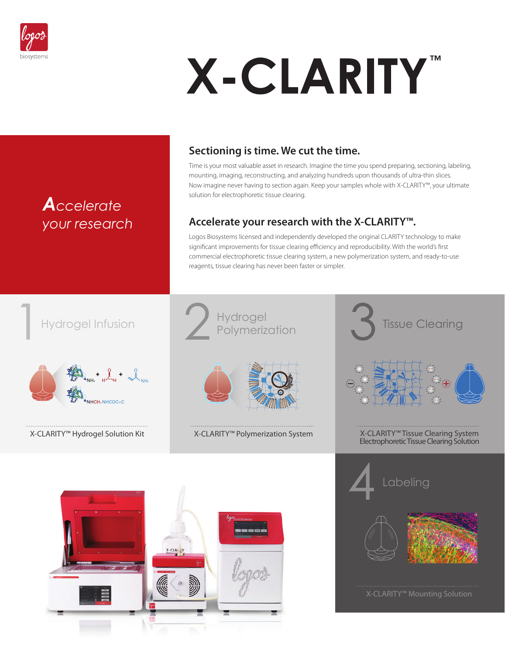

*Accelerate* 

*your research*

# X-CLARITY"

## **Sectioning is time. We cut the time.**

Time is your most valuable asset in research. Imagine the time you spend preparing, sectioning, labeling, mounting, imaging, reconstructing, and analyzing hundreds upon thousands of ultra-thin slices. Now imagine never having to section again. Keep your samples whole with X-CLARITY™, your ultimate solution for electrophoretic tissue clearing.

## **Accelerate your research with the X-CLARITY™.**

Logos Biosystems licensed and independently developed the original CLARITY technology to make significant improvements for tissue clearing efficiency and reproducibility. With the world's first commercial electrophoretic tissue clearing system, a new polymerization system, and ready-to-use reagents, tissue clearing has never been faster or simpler.